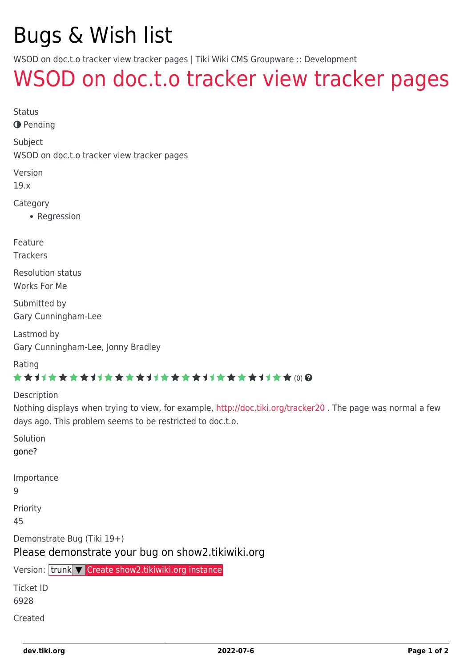# Bugs & Wish list

WSOD on doc.t.o tracker view tracker pages | Tiki Wiki CMS Groupware :: Development

## [WSOD on doc.t.o tracker view tracker pages](https://dev.tiki.org/item6928-WSOD-on-doc-t-o-tracker-view-tracker-pages)

Status

**O** Pending

Subject

WSOD on doc.t.o tracker view tracker pages

Version

19.x

Category

• Regression

Feature

**Trackers** 

Resolution status Works For Me

Submitted by Gary Cunningham-Lee

Lastmod by Gary Cunningham-Lee, Jonny Bradley

Rating

#### \*\*\*\*\*\*\*\*\*\*\*\*\*\*\*\*\*\*\*\*\*\*\*\*\*\*\*\*\*\*

Description

Nothing displays when trying to view, for example, <http://doc.tiki.org/tracker20>. The page was normal a few days ago. This problem seems to be restricted to doc.t.o.

Solution gone?

Importance

9

Priority

45

Demonstrate Bug (Tiki 19+)

Please demonstrate your bug on show2.tikiwiki.org

Version: trunk ▼ [Create show2.tikiwiki.org instance](#page--1-0)

Ticket ID

6928

Created